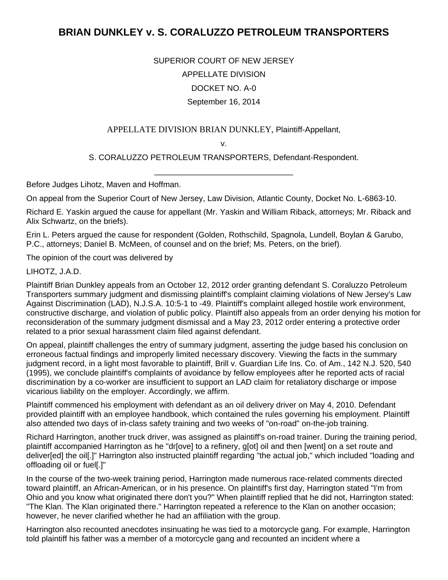## **BRIAN DUNKLEY v. S. CORALUZZO PETROLEUM TRANSPORTERS**

SUPERIOR COURT OF NEW JERSEY APPELLATE DIVISION DOCKET NO. A-0 September 16, 2014

APPELLATE DIVISION BRIAN DUNKLEY, Plaintiff-Appellant,

v.

S. CORALUZZO PETROLEUM TRANSPORTERS, Defendant-Respondent. \_\_\_\_\_\_\_\_\_\_\_\_\_\_\_\_\_\_\_\_\_\_\_\_\_\_\_\_\_\_\_

Before Judges Lihotz, Maven and Hoffman.

On appeal from the Superior Court of New Jersey, Law Division, Atlantic County, Docket No. L-6863-10.

Richard E. Yaskin argued the cause for appellant (Mr. Yaskin and William Riback, attorneys; Mr. Riback and Alix Schwartz, on the briefs).

Erin L. Peters argued the cause for respondent (Golden, Rothschild, Spagnola, Lundell, Boylan & Garubo, P.C., attorneys; Daniel B. McMeen, of counsel and on the brief; Ms. Peters, on the brief).

The opinion of the court was delivered by

LIHOTZ, J.A.D.

Plaintiff Brian Dunkley appeals from an October 12, 2012 order granting defendant S. Coraluzzo Petroleum Transporters summary judgment and dismissing plaintiff's complaint claiming violations of New Jersey's Law Against Discrimination (LAD), N.J.S.A. 10:5-1 to -49. Plaintiff's complaint alleged hostile work environment, constructive discharge, and violation of public policy. Plaintiff also appeals from an order denying his motion for reconsideration of the summary judgment dismissal and a May 23, 2012 order entering a protective order related to a prior sexual harassment claim filed against defendant.

On appeal, plaintiff challenges the entry of summary judgment, asserting the judge based his conclusion on erroneous factual findings and improperly limited necessary discovery. Viewing the facts in the summary judgment record, in a light most favorable to plaintiff, Brill v. Guardian Life Ins. Co. of Am., 142 N.J. 520, 540 (1995), we conclude plaintiff's complaints of avoidance by fellow employees after he reported acts of racial discrimination by a co-worker are insufficient to support an LAD claim for retaliatory discharge or impose vicarious liability on the employer. Accordingly, we affirm.

Plaintiff commenced his employment with defendant as an oil delivery driver on May 4, 2010. Defendant provided plaintiff with an employee handbook, which contained the rules governing his employment. Plaintiff also attended two days of in-class safety training and two weeks of "on-road" on-the-job training.

Richard Harrington, another truck driver, was assigned as plaintiff's on-road trainer. During the training period, plaintiff accompanied Harrington as he "dr[ove] to a refinery, g[ot] oil and then [went] on a set route and deliver[ed] the oil[.]" Harrington also instructed plaintiff regarding "the actual job," which included "loading and offloading oil or fuel[.]"

In the course of the two-week training period, Harrington made numerous race-related comments directed toward plaintiff, an African-American, or in his presence. On plaintiff's first day, Harrington stated "I'm from Ohio and you know what originated there don't you?" When plaintiff replied that he did not, Harrington stated: "The Klan. The Klan originated there." Harrington repeated a reference to the Klan on another occasion; however, he never clarified whether he had an affiliation with the group.

Harrington also recounted anecdotes insinuating he was tied to a motorcycle gang. For example, Harrington told plaintiff his father was a member of a motorcycle gang and recounted an incident where a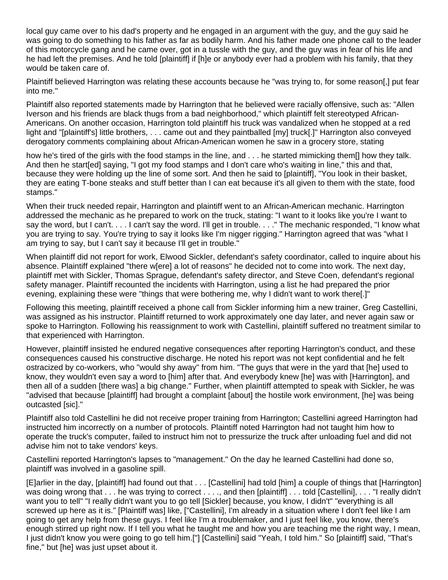local guy came over to his dad's property and he engaged in an argument with the guy, and the guy said he was going to do something to his father as far as bodily harm. And his father made one phone call to the leader of this motorcycle gang and he came over, got in a tussle with the guy, and the guy was in fear of his life and he had left the premises. And he told [plaintiff] if [h]e or anybody ever had a problem with his family, that they would be taken care of.

Plaintiff believed Harrington was relating these accounts because he "was trying to, for some reason[,] put fear into me."

Plaintiff also reported statements made by Harrington that he believed were racially offensive, such as: "Allen Iverson and his friends are black thugs from a bad neighborhood," which plaintiff felt stereotyped African-Americans. On another occasion, Harrington told plaintiff his truck was vandalized when he stopped at a red light and "[plaintiff's] little brothers, . . . came out and they paintballed [my] truck[.]" Harrington also conveyed derogatory comments complaining about African-American women he saw in a grocery store, stating

how he's tired of the girls with the food stamps in the line, and . . . he started mimicking them[] how they talk. And then he start[ed] saying, "I got my food stamps and I don't care who's waiting in line," this and that, because they were holding up the line of some sort. And then he said to [plaintiff], "You look in their basket, they are eating T-bone steaks and stuff better than I can eat because it's all given to them with the state, food stamps."

When their truck needed repair, Harrington and plaintiff went to an African-American mechanic. Harrington addressed the mechanic as he prepared to work on the truck, stating: "I want to it looks like you're I want to say the word, but I can't. . . . I can't say the word. I'll get in trouble. . . . " The mechanic responded, "I know what you are trying to say. You're trying to say it looks like I'm nigger rigging." Harrington agreed that was "what I am trying to say, but I can't say it because I'll get in trouble."

When plaintiff did not report for work, Elwood Sickler, defendant's safety coordinator, called to inquire about his absence. Plaintiff explained "there w[ere] a lot of reasons" he decided not to come into work. The next day, plaintiff met with Sickler, Thomas Sprague, defendant's safety director, and Steve Coen, defendant's regional safety manager. Plaintiff recounted the incidents with Harrington, using a list he had prepared the prior evening, explaining these were "things that were bothering me, why I didn't want to work there[.]"

Following this meeting, plaintiff received a phone call from Sickler informing him a new trainer, Greg Castellini, was assigned as his instructor. Plaintiff returned to work approximately one day later, and never again saw or spoke to Harrington. Following his reassignment to work with Castellini, plaintiff suffered no treatment similar to that experienced with Harrington.

However, plaintiff insisted he endured negative consequences after reporting Harrington's conduct, and these consequences caused his constructive discharge. He noted his report was not kept confidential and he felt ostracized by co-workers, who "would shy away" from him. "The guys that were in the yard that [he] used to know, they wouldn't even say a word to [him] after that. And everybody knew [he] was with [Harrington], and then all of a sudden [there was] a big change." Further, when plaintiff attempted to speak with Sickler, he was "advised that because [plaintiff] had brought a complaint [about] the hostile work environment, [he] was being outcasted [sic]."

Plaintiff also told Castellini he did not receive proper training from Harrington; Castellini agreed Harrington had instructed him incorrectly on a number of protocols. Plaintiff noted Harrington had not taught him how to operate the truck's computer, failed to instruct him not to pressurize the truck after unloading fuel and did not advise him not to take vendors' keys.

Castellini reported Harrington's lapses to "management." On the day he learned Castellini had done so, plaintiff was involved in a gasoline spill.

[E]arlier in the day, [plaintiff] had found out that . . . [Castellini] had told [him] a couple of things that [Harrington] was doing wrong that . . . he was trying to correct . . . ., and then [plaintiff] . . . told [Castellini], . . . "I really didn't want you to tell" "I really didn't want you to go tell [Sickler] because, you know, I didn't" "everything is all screwed up here as it is." [Plaintiff was] like, ["Castellini], I'm already in a situation where I don't feel like I am going to get any help from these guys. I feel like I'm a troublemaker, and I just feel like, you know, there's enough stirred up right now. If I tell you what he taught me and how you are teaching me the right way, I mean, I just didn't know you were going to go tell him.["] [Castellini] said "Yeah, I told him." So [plaintiff] said, "That's fine," but [he] was just upset about it.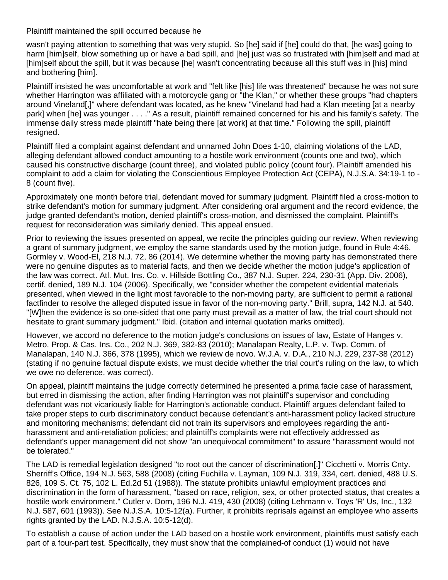Plaintiff maintained the spill occurred because he

wasn't paying attention to something that was very stupid. So [he] said if [he] could do that, [he was] going to harm [him]self, blow something up or have a bad spill, and [he] just was so frustrated with [him]self and mad at [him]self about the spill, but it was because [he] wasn't concentrating because all this stuff was in [his] mind and bothering [him].

Plaintiff insisted he was uncomfortable at work and "felt like [his] life was threatened" because he was not sure whether Harrington was affiliated with a motorcycle gang or "the Klan," or whether these groups "had chapters around Vineland[,]" where defendant was located, as he knew "Vineland had had a Klan meeting [at a nearby park] when [he] was younger . . . ." As a result, plaintiff remained concerned for his and his family's safety. The immense daily stress made plaintiff "hate being there [at work] at that time." Following the spill, plaintiff resigned.

Plaintiff filed a complaint against defendant and unnamed John Does 1-10, claiming violations of the LAD, alleging defendant allowed conduct amounting to a hostile work environment (counts one and two), which caused his constructive discharge (count three), and violated public policy (count four). Plaintiff amended his complaint to add a claim for violating the Conscientious Employee Protection Act (CEPA), N.J.S.A. 34:19-1 to - 8 (count five).

Approximately one month before trial, defendant moved for summary judgment. Plaintiff filed a cross-motion to strike defendant's motion for summary judgment. After considering oral argument and the record evidence, the judge granted defendant's motion, denied plaintiff's cross-motion, and dismissed the complaint. Plaintiff's request for reconsideration was similarly denied. This appeal ensued.

Prior to reviewing the issues presented on appeal, we recite the principles guiding our review. When reviewing a grant of summary judgment, we employ the same standards used by the motion judge, found in Rule 4:46. Gormley v. Wood-El, 218 N.J. 72, 86 (2014). We determine whether the moving party has demonstrated there were no genuine disputes as to material facts, and then we decide whether the motion judge's application of the law was correct. Atl. Mut. Ins. Co. v. Hillside Bottling Co., 387 N.J. Super. 224, 230-31 (App. Div. 2006), certif. denied, 189 N.J. 104 (2006). Specifically, we "consider whether the competent evidential materials presented, when viewed in the light most favorable to the non-moving party, are sufficient to permit a rational factfinder to resolve the alleged disputed issue in favor of the non-moving party." Brill, supra, 142 N.J. at 540. "[W]hen the evidence is so one-sided that one party must prevail as a matter of law, the trial court should not hesitate to grant summary judgment." Ibid. (citation and internal quotation marks omitted).

However, we accord no deference to the motion judge's conclusions on issues of law, Estate of Hanges v. Metro. Prop. & Cas. Ins. Co., 202 N.J. 369, 382-83 (2010); Manalapan Realty, L.P. v. Twp. Comm. of Manalapan, 140 N.J. 366, 378 (1995), which we review de novo. W.J.A. v. D.A., 210 N.J. 229, 237-38 (2012) (stating if no genuine factual dispute exists, we must decide whether the trial court's ruling on the law, to which we owe no deference, was correct).

On appeal, plaintiff maintains the judge correctly determined he presented a prima facie case of harassment, but erred in dismissing the action, after finding Harrington was not plaintiff's supervisor and concluding defendant was not vicariously liable for Harrington's actionable conduct. Plaintiff argues defendant failed to take proper steps to curb discriminatory conduct because defendant's anti-harassment policy lacked structure and monitoring mechanisms; defendant did not train its supervisors and employees regarding the antiharassment and anti-retaliation policies; and plaintiff's complaints were not effectively addressed as defendant's upper management did not show "an unequivocal commitment" to assure "harassment would not be tolerated."

The LAD is remedial legislation designed "to root out the cancer of discrimination[.]" Cicchetti v. Morris Cnty. Sherriff's Office, 194 N.J. 563, 588 (2008) (citing Fuchilla v. Layman, 109 N.J. 319, 334, cert. denied, 488 U.S. 826, 109 S. Ct. 75, 102 L. Ed.2d 51 (1988)). The statute prohibits unlawful employment practices and discrimination in the form of harassment, "based on race, religion, sex, or other protected status, that creates a hostile work environment." Cutler v. Dorn, 196 N.J. 419, 430 (2008) (citing Lehmann v. Toys 'R' Us, Inc., 132 N.J. 587, 601 (1993)). See N.J.S.A. 10:5-12(a). Further, it prohibits reprisals against an employee who asserts rights granted by the LAD. N.J.S.A. 10:5-12(d).

To establish a cause of action under the LAD based on a hostile work environment, plaintiffs must satisfy each part of a four-part test. Specifically, they must show that the complained-of conduct (1) would not have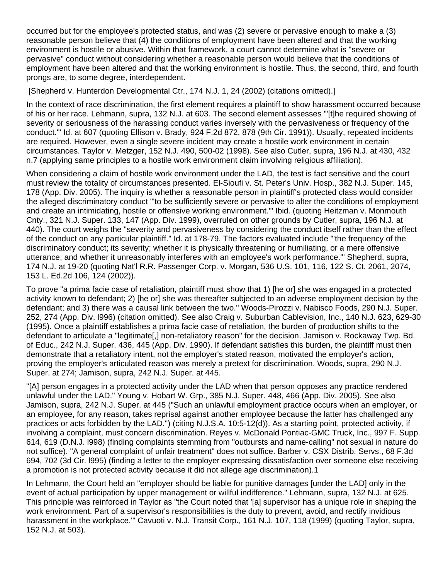occurred but for the employee's protected status, and was (2) severe or pervasive enough to make a (3) reasonable person believe that (4) the conditions of employment have been altered and that the working environment is hostile or abusive. Within that framework, a court cannot determine what is "severe or pervasive" conduct without considering whether a reasonable person would believe that the conditions of employment have been altered and that the working environment is hostile. Thus, the second, third, and fourth prongs are, to some degree, interdependent.

[Shepherd v. Hunterdon Developmental Ctr., 174 N.J. 1, 24 (2002) (citations omitted).]

In the context of race discrimination, the first element requires a plaintiff to show harassment occurred because of his or her race. Lehmann, supra, 132 N.J. at 603. The second element assesses "'[t]he required showing of severity or seriousness of the harassing conduct varies inversely with the pervasiveness or frequency of the conduct.'" Id. at 607 (quoting Ellison v. Brady, 924 F.2d 872, 878 (9th Cir. 1991)). Usually, repeated incidents are required. However, even a single severe incident may create a hostile work environment in certain circumstances. Taylor v. Metzger, 152 N.J. 490, 500-02 (1998). See also Cutler, supra, 196 N.J. at 430, 432 n.7 (applying same principles to a hostile work environment claim involving religious affiliation).

When considering a claim of hostile work environment under the LAD, the test is fact sensitive and the court must review the totality of circumstances presented. El-Sioufi v. St. Peter's Univ. Hosp., 382 N.J. Super. 145, 178 (App. Div. 2005). The inquiry is whether a reasonable person in plaintiff's protected class would consider the alleged discriminatory conduct "'to be sufficiently severe or pervasive to alter the conditions of employment and create an intimidating, hostile or offensive working environment.'" Ibid. (quoting Heitzman v. Monmouth Cnty., 321 N.J. Super. 133, 147 (App. Div. 1999), overruled on other grounds by Cutler, supra, 196 N.J. at 440). The court weighs the "severity and pervasiveness by considering the conduct itself rather than the effect of the conduct on any particular plaintiff." Id. at 178-79. The factors evaluated include "'the frequency of the discriminatory conduct; its severity; whether it is physically threatening or humiliating, or a mere offensive utterance; and whether it unreasonably interferes with an employee's work performance.'" Shepherd, supra, 174 N.J. at 19-20 (quoting Nat'l R.R. Passenger Corp. v. Morgan, 536 U.S. 101, 116, 122 S. Ct. 2061, 2074, 153 L. Ed.2d 106, 124 (2002)).

To prove "a prima facie case of retaliation, plaintiff must show that 1) [he or] she was engaged in a protected activity known to defendant; 2) [he or] she was thereafter subjected to an adverse employment decision by the defendant; and 3) there was a causal link between the two." Woods-Pirozzi v. Nabisco Foods, 290 N.J. Super. 252, 274 (App. Div. l996) (citation omitted). See also Craig v. Suburban Cablevision, Inc., 140 N.J. 623, 629-30 (1995). Once a plaintiff establishes a prima facie case of retaliation, the burden of production shifts to the defendant to articulate a "legitimate[,] non-retaliatory reason" for the decision. Jamison v. Rockaway Twp. Bd. of Educ., 242 N.J. Super. 436, 445 (App. Div. 1990). If defendant satisfies this burden, the plaintiff must then demonstrate that a retaliatory intent, not the employer's stated reason, motivated the employer's action, proving the employer's articulated reason was merely a pretext for discrimination. Woods, supra, 290 N.J. Super. at 274; Jamison, supra, 242 N.J. Super. at 445.

"[A] person engages in a protected activity under the LAD when that person opposes any practice rendered unlawful under the LAD." Young v. Hobart W. Grp., 385 N.J. Super. 448, 466 (App. Div. 2005). See also Jamison, supra, 242 N.J. Super. at 445 ("Such an unlawful employment practice occurs when an employer, or an employee, for any reason, takes reprisal against another employee because the latter has challenged any practices or acts forbidden by the LAD.") (citing N.J.S.A. 10:5-12(d)). As a starting point, protected activity, if involving a complaint, must concern discrimination. Reyes v. McDonald Pontiac-GMC Truck, Inc., 997 F. Supp. 614, 619 (D.N.J. l998) (finding complaints stemming from "outbursts and name-calling" not sexual in nature do not suffice). "A general complaint of unfair treatment" does not suffice. Barber v. CSX Distrib. Servs., 68 F.3d 694, 702 (3d Cir. l995) (finding a letter to the employer expressing dissatisfaction over someone else receiving a promotion is not protected activity because it did not allege age discrimination).1

In Lehmann, the Court held an "employer should be liable for punitive damages [under the LAD] only in the event of actual participation by upper management or willful indifference." Lehmann, supra, 132 N.J. at 625. This principle was reinforced in Taylor as "the Court noted that '[a] supervisor has a unique role in shaping the work environment. Part of a supervisor's responsibilities is the duty to prevent, avoid, and rectify invidious harassment in the workplace.'" Cavuoti v. N.J. Transit Corp., 161 N.J. 107, 118 (1999) (quoting Taylor, supra, 152 N.J. at 503).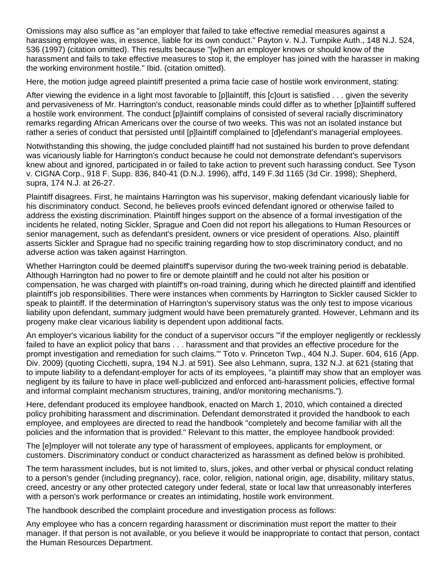Omissions may also suffice as "an employer that failed to take effective remedial measures against a harassing employee was, in essence, liable for its own conduct." Payton v. N.J. Turnpike Auth., 148 N.J. 524, 536 (1997) (citation omitted). This results because "[w]hen an employer knows or should know of the harassment and fails to take effective measures to stop it, the employer has joined with the harasser in making the working environment hostile." Ibid. (citation omitted).

Here, the motion judge agreed plaintiff presented a prima facie case of hostile work environment, stating:

After viewing the evidence in a light most favorable to [p]laintiff, this [c]ourt is satisfied . . . given the severity and pervasiveness of Mr. Harrington's conduct, reasonable minds could differ as to whether [p]laintiff suffered a hostile work environment. The conduct [p]laintiff complains of consisted of several racially discriminatory remarks regarding African Americans over the course of two weeks. This was not an isolated instance but rather a series of conduct that persisted until [p]laintiff complained to [d]efendant's managerial employees.

Notwithstanding this showing, the judge concluded plaintiff had not sustained his burden to prove defendant was vicariously liable for Harrington's conduct because he could not demonstrate defendant's supervisors knew about and ignored, participated in or failed to take action to prevent such harassing conduct. See Tyson v. CIGNA Corp., 918 F. Supp. 836, 840-41 (D.N.J. 1996), aff'd, 149 F.3d 1165 (3d Cir. 1998); Shepherd, supra, 174 N.J. at 26-27.

Plaintiff disagrees. First, he maintains Harrington was his supervisor, making defendant vicariously liable for his discriminatory conduct. Second, he believes proofs evinced defendant ignored or otherwise failed to address the existing discrimination. Plaintiff hinges support on the absence of a formal investigation of the incidents he related, noting Sickler, Sprague and Coen did not report his allegations to Human Resources or senior management, such as defendant's president, owners or vice president of operations. Also, plaintiff asserts Sickler and Sprague had no specific training regarding how to stop discriminatory conduct, and no adverse action was taken against Harrington.

Whether Harrington could be deemed plaintiff's supervisor during the two-week training period is debatable. Although Harrington had no power to fire or demote plaintiff and he could not alter his position or compensation, he was charged with plaintiff's on-road training, during which he directed plaintiff and identified plaintiff's job responsibilities. There were instances when comments by Harrington to Sickler caused Sickler to speak to plaintiff. If the determination of Harrington's supervisory status was the only test to impose vicarious liability upon defendant, summary judgment would have been prematurely granted. However, Lehmann and its progeny make clear vicarious liability is dependent upon additional facts.

An employer's vicarious liability for the conduct of a supervisor occurs "'if the employer negligently or recklessly failed to have an explicit policy that bans . . . harassment and that provides an effective procedure for the prompt investigation and remediation for such claims.'" Toto v. Princeton Twp., 404 N.J. Super. 604, 616 (App. Div. 2009) (quoting Cicchetti, supra, 194 N.J. at 591). See also Lehmann, supra, 132 N.J. at 621 (stating that to impute liability to a defendant-employer for acts of its employees, "a plaintiff may show that an employer was negligent by its failure to have in place well-publicized and enforced anti-harassment policies, effective formal and informal complaint mechanism structures, training, and/or monitoring mechanisms.").

Here, defendant produced its employee handbook, enacted on March 1, 2010, which contained a directed policy prohibiting harassment and discrimination. Defendant demonstrated it provided the handbook to each employee, and employees are directed to read the handbook "completely and become familiar with all the policies and the information that is provided." Relevant to this matter, the employee handbook provided:

The [e]mployer will not tolerate any type of harassment of employees, applicants for employment, or customers. Discriminatory conduct or conduct characterized as harassment as defined below is prohibited.

The term harassment includes, but is not limited to, slurs, jokes, and other verbal or physical conduct relating to a person's gender (including pregnancy), race, color, religion, national origin, age, disability, military status, creed, ancestry or any other protected category under federal, state or local law that unreasonably interferes with a person's work performance or creates an intimidating, hostile work environment.

The handbook described the complaint procedure and investigation process as follows:

Any employee who has a concern regarding harassment or discrimination must report the matter to their manager. If that person is not available, or you believe it would be inappropriate to contact that person, contact the Human Resources Department.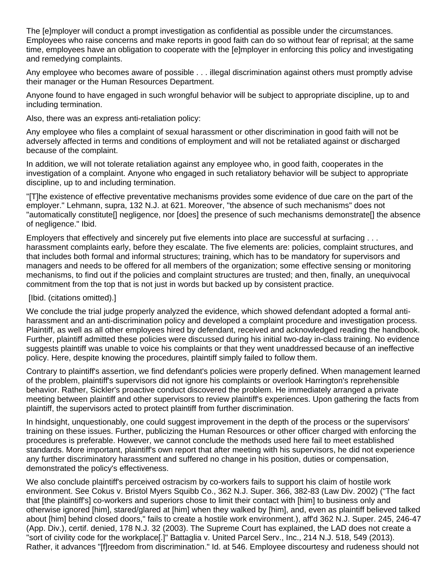The [e]mployer will conduct a prompt investigation as confidential as possible under the circumstances. Employees who raise concerns and make reports in good faith can do so without fear of reprisal; at the same time, employees have an obligation to cooperate with the [e]mployer in enforcing this policy and investigating and remedying complaints.

Any employee who becomes aware of possible . . . illegal discrimination against others must promptly advise their manager or the Human Resources Department.

Anyone found to have engaged in such wrongful behavior will be subject to appropriate discipline, up to and including termination.

Also, there was an express anti-retaliation policy:

Any employee who files a complaint of sexual harassment or other discrimination in good faith will not be adversely affected in terms and conditions of employment and will not be retaliated against or discharged because of the complaint.

In addition, we will not tolerate retaliation against any employee who, in good faith, cooperates in the investigation of a complaint. Anyone who engaged in such retaliatory behavior will be subject to appropriate discipline, up to and including termination.

"[T]he existence of effective preventative mechanisms provides some evidence of due care on the part of the employer." Lehmann, supra, 132 N.J. at 621. Moreover, "the absence of such mechanisms" does not "automatically constitute[] negligence, nor [does] the presence of such mechanisms demonstrate[] the absence of negligence." Ibid.

Employers that effectively and sincerely put five elements into place are successful at surfacing . . . harassment complaints early, before they escalate. The five elements are: policies, complaint structures, and that includes both formal and informal structures; training, which has to be mandatory for supervisors and managers and needs to be offered for all members of the organization; some effective sensing or monitoring mechanisms, to find out if the policies and complaint structures are trusted; and then, finally, an unequivocal commitment from the top that is not just in words but backed up by consistent practice.

## [Ibid. (citations omitted).]

We conclude the trial judge properly analyzed the evidence, which showed defendant adopted a formal antiharassment and an anti-discrimination policy and developed a complaint procedure and investigation process. Plaintiff, as well as all other employees hired by defendant, received and acknowledged reading the handbook. Further, plaintiff admitted these policies were discussed during his initial two-day in-class training. No evidence suggests plaintiff was unable to voice his complaints or that they went unaddressed because of an ineffective policy. Here, despite knowing the procedures, plaintiff simply failed to follow them.

Contrary to plaintiff's assertion, we find defendant's policies were properly defined. When management learned of the problem, plaintiff's supervisors did not ignore his complaints or overlook Harrington's reprehensible behavior. Rather, Sickler's proactive conduct discovered the problem. He immediately arranged a private meeting between plaintiff and other supervisors to review plaintiff's experiences. Upon gathering the facts from plaintiff, the supervisors acted to protect plaintiff from further discrimination.

In hindsight, unquestionably, one could suggest improvement in the depth of the process or the supervisors' training on these issues. Further, publicizing the Human Resources or other officer charged with enforcing the procedures is preferable. However, we cannot conclude the methods used here fail to meet established standards. More important, plaintiff's own report that after meeting with his supervisors, he did not experience any further discriminatory harassment and suffered no change in his position, duties or compensation, demonstrated the policy's effectiveness.

We also conclude plaintiff's perceived ostracism by co-workers fails to support his claim of hostile work environment. See Cokus v. Bristol Myers Squibb Co., 362 N.J. Super. 366, 382-83 (Law Div. 2002) ("The fact that [the plaintiff's] co-workers and superiors chose to limit their contact with [him] to business only and otherwise ignored [him], stared/glared at [him] when they walked by [him], and, even as plaintiff believed talked about [him] behind closed doors," fails to create a hostile work environment.), aff'd 362 N.J. Super. 245, 246-47 (App. Div.), certif. denied, 178 N.J. 32 (2003). The Supreme Court has explained, the LAD does not create a "sort of civility code for the workplace[.]" Battaglia v. United Parcel Serv., Inc., 214 N.J. 518, 549 (2013). Rather, it advances "[f]reedom from discrimination." Id. at 546. Employee discourtesy and rudeness should not